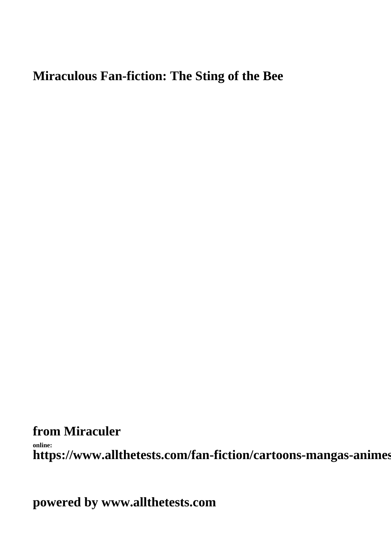## **Miraculous Fan-fiction: The Sting of the Bee**

**from Miraculer**

**online:** https://www.allthetests.com/fan-fiction/cartoons-mangas-animes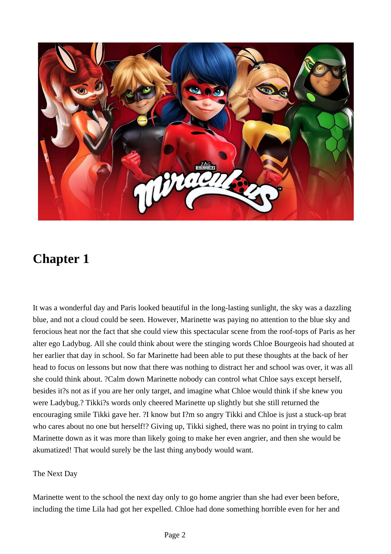

It was a wonderful day and Paris looked beautiful in the long-lasting sunlight, the sky was a dazzling blue, and not a cloud could be seen. However, Marinette was paying no attention to the blue sky and ferocious heat nor the fact that she could view this spectacular scene from the roof-tops of Paris as her alter ego Ladybug. All she could think about were the stinging words Chloe Bourgeois had shouted at her earlier that day in school. So far Marinette had been able to put these thoughts at the back of her head to focus on lessons but now that there was nothing to distract her and school was over, it was all she could think about. ?Calm down Marinette nobody can control what Chloe says except herself, besides it?s not as if you are her only target, and imagine what Chloe would think if she knew you were Ladybug.? Tikki?s words only cheered Marinette up slightly but she still returned the encouraging smile Tikki gave her. ?I know but I?m so angry Tikki and Chloe is just a stuck-up brat who cares about no one but herself!? Giving up, Tikki sighed, there was no point in trying to calm Marinette down as it was more than likely going to make her even angrier, and then she would be akumatized! That would surely be the last thing anybody would want.

### The Next Day

Marinette went to the school the next day only to go home angrier than she had ever been before, including the time Lila had got her expelled. Chloe had done something horrible even for her and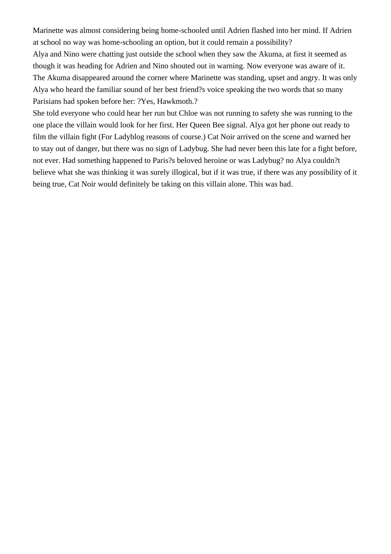Marinette was almost considering being home-schooled until Adrien flashed into her mind. If Adrien at school no way was home-schooling an option, but it could remain a possibility? Alya and Nino were chatting just outside the school when they saw the Akuma, at first it seemed as though it was heading for Adrien and Nino shouted out in warning. Now everyone was aware of it. The Akuma disappeared around the corner where Marinette was standing, upset and angry. It was only Alya who heard the familiar sound of her best friend?s voice speaking the two words that so many Parisians had spoken before her: ?Yes, Hawkmoth.?

She told everyone who could hear her run but Chloe was not running to safety she was running to the one place the villain would look for her first. Her Queen Bee signal. Alya got her phone out ready to film the villain fight (For Ladyblog reasons of course.) Cat Noir arrived on the scene and warned her to stay out of danger, but there was no sign of Ladybug. She had never been this late for a fight before, not ever. Had something happened to Paris?s beloved heroine or was Ladybug? no Alya couldn?t believe what she was thinking it was surely illogical, but if it was true, if there was any possibility of it being true, Cat Noir would definitely be taking on this villain alone. This was bad.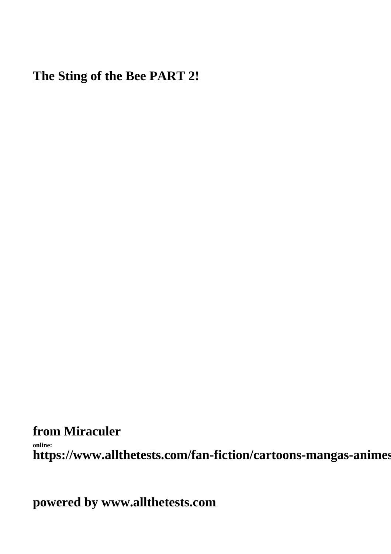# **The Sting of the Bee PART 2!**

**from Miraculer**

**online:** https://www.allthetests.com/fan-fiction/cartoons-mangas-animes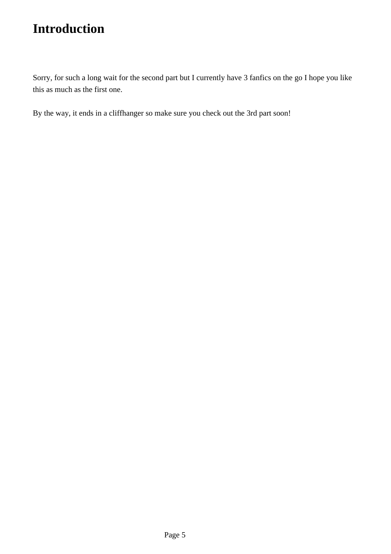Sorry, for such a long wait for the second part but I currently have 3 fanfics on the go I hope you like this as much as the first one.

By the way, it ends in a cliffhanger so make sure you check out the 3rd part soon!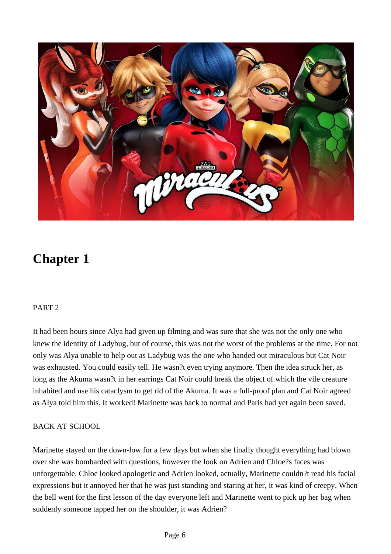

### PART 2

It had been hours since Alya had given up filming and was sure that she was not the only one who knew the identity of Ladybug, but of course, this was not the worst of the problems at the time. For not only was Alya unable to help out as Ladybug was the one who handed out miraculous but Cat Noir was exhausted. You could easily tell. He wasn?t even trying anymore. Then the idea struck her, as long as the Akuma wasn?t in her earrings Cat Noir could break the object of which the vile creature inhabited and use his cataclysm to get rid of the Akuma. It was a full-proof plan and Cat Noir agreed as Alya told him this. It worked! Marinette was back to normal and Paris had yet again been saved.

### BACK AT SCHOOL

Marinette stayed on the down-low for a few days but when she finally thought everything had blown over she was bombarded with questions, however the look on Adrien and Chloe?s faces was unforgettable. Chloe looked apologetic and Adrien looked, actually, Marinette couldn?t read his facial expressions but it annoyed her that he was just standing and staring at her, it was kind of creepy. When the bell went for the first lesson of the day everyone left and Marinette went to pick up her bag when suddenly someone tapped her on the shoulder, it was Adrien?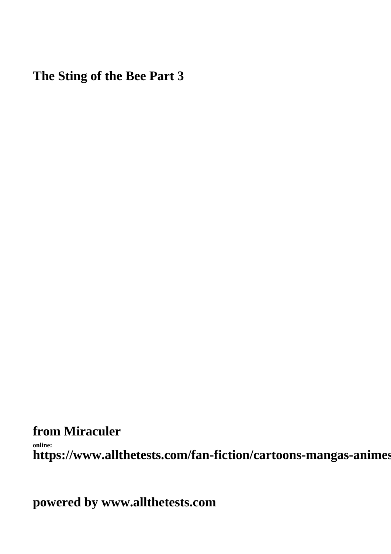**The Sting of the Bee Part 3**

**from Miraculer** 

**online:** https://www.allthetests.com/fan-fiction/cartoons-mangas-animes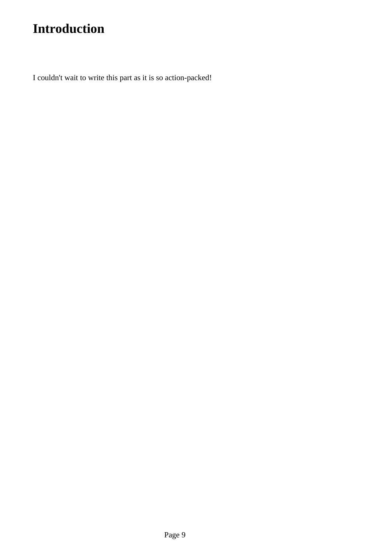I couldn't wait to write this part as it is so action-packed!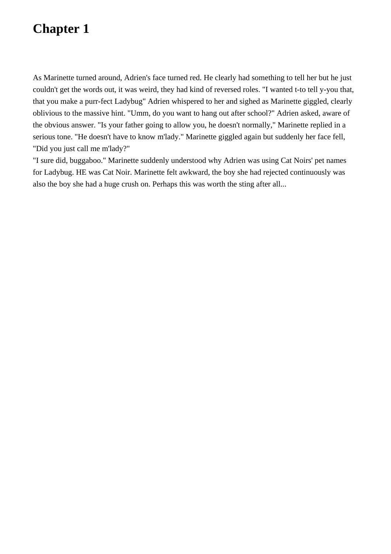As Marinette turned around, Adrien's face turned red. He clearly had something to tell her but he just couldn't get the words out, it was weird, they had kind of reversed roles. "I wanted t-to tell y-you that, that you make a purr-fect Ladybug" Adrien whispered to her and sighed as Marinette giggled, clearly oblivious to the massive hint. "Umm, do you want to hang out after school?" Adrien asked, aware of the obvious answer. "Is your father going to allow you, he doesn't normally," Marinette replied in a serious tone. "He doesn't have to know m'lady." Marinette giggled again but suddenly her face fell, "Did you just call me m'lady?"

"I sure did, buggaboo." Marinette suddenly understood why Adrien was using Cat Noirs' pet names for Ladybug. HE was Cat Noir. Marinette felt awkward, the boy she had rejected continuously was also the boy she had a huge crush on. Perhaps this was worth the sting after all...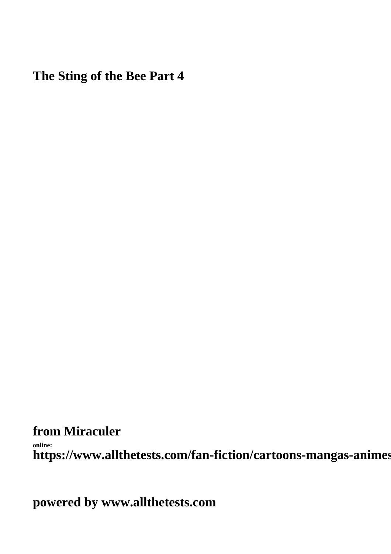**The Sting of the Bee Part 4**

**from Miraculer** 

**online:** https://www.allthetests.com/fan-fiction/cartoons-mangas-animes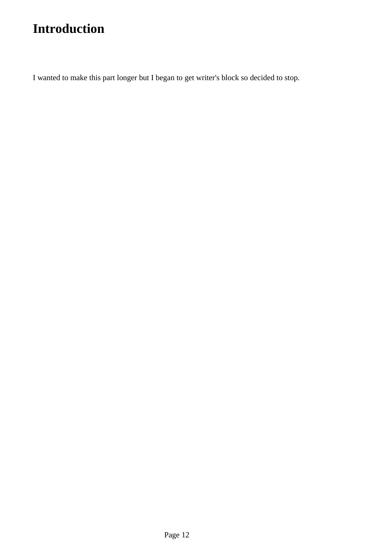I wanted to make this part longer but I began to get writer's block so decided to stop.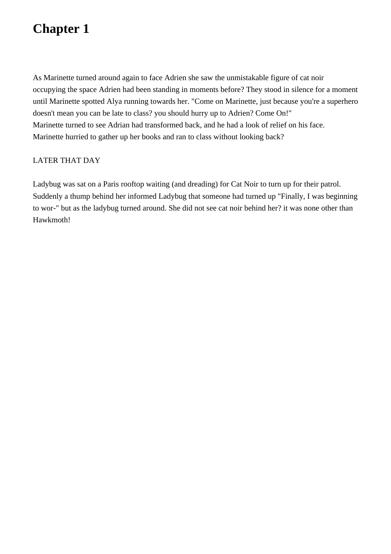As Marinette turned around again to face Adrien she saw the unmistakable figure of cat noir occupying the space Adrien had been standing in moments before? They stood in silence for a moment until Marinette spotted Alya running towards her. "Come on Marinette, just because you're a superhero doesn't mean you can be late to class? you should hurry up to Adrien? Come On!" Marinette turned to see Adrian had transformed back, and he had a look of relief on his face. Marinette hurried to gather up her books and ran to class without looking back?

#### LATER THAT DAY

Ladybug was sat on a Paris rooftop waiting (and dreading) for Cat Noir to turn up for their patrol. Suddenly a thump behind her informed Ladybug that someone had turned up "Finally, I was beginning to wor-" but as the ladybug turned around. She did not see cat noir behind her? it was none other than Hawkmoth!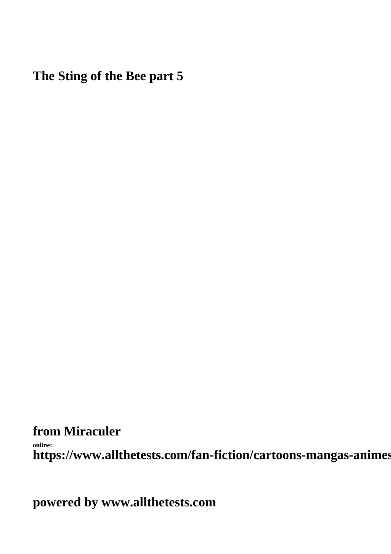**The Sting of the Bee part 5**

**from Miraculer** 

**online:** https://www.allthetests.com/fan-fiction/cartoons-mangas-animes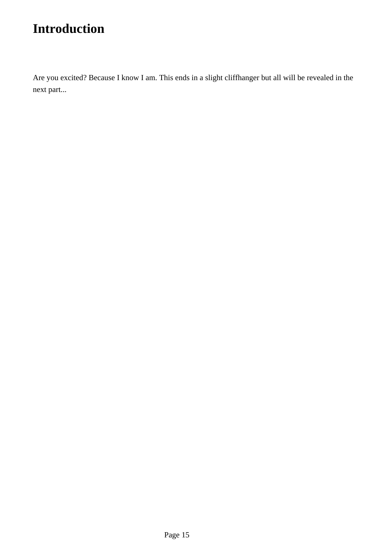Are you excited? Because I know I am. This ends in a slight cliffhanger but all will be revealed in the next part...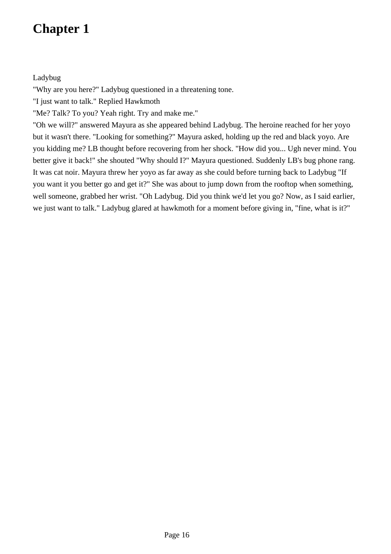Ladybug

"Why are you here?" Ladybug questioned in a threatening tone.

"I just want to talk." Replied Hawkmoth

"Me? Talk? To you? Yeah right. Try and make me."

"Oh we will?" answered Mayura as she appeared behind Ladybug. The heroine reached for her yoyo but it wasn't there. "Looking for something?" Mayura asked, holding up the red and black yoyo. Are you kidding me? LB thought before recovering from her shock. "How did you... Ugh never mind. You better give it back!" she shouted "Why should I?" Mayura questioned. Suddenly LB's bug phone rang. It was cat noir. Mayura threw her yoyo as far away as she could before turning back to Ladybug "If you want it you better go and get it?" She was about to jump down from the rooftop when something, well someone, grabbed her wrist. "Oh Ladybug. Did you think we'd let you go? Now, as I said earlier, we just want to talk." Ladybug glared at hawkmoth for a moment before giving in, "fine, what is it?"